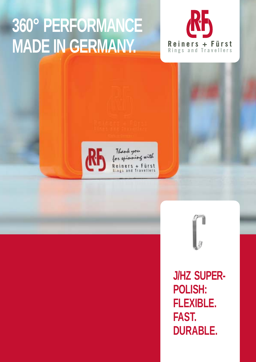## **360° PERFORMANCE MADE IN GERMANY.**





Thank you<br>for spinning with Reiners + Fürst<br>Rings and Travellers



**J/HZ SUPER-POLISH: FLEXIBLE. FAST. DURABLE.**